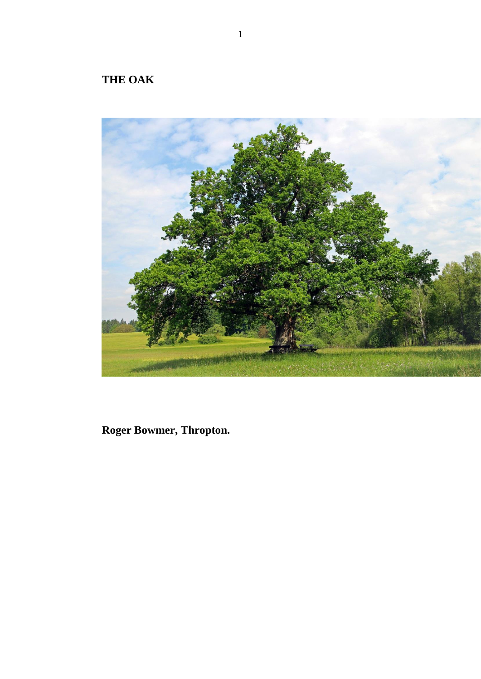## **THE OAK**



**Roger Bowmer, Thropton.**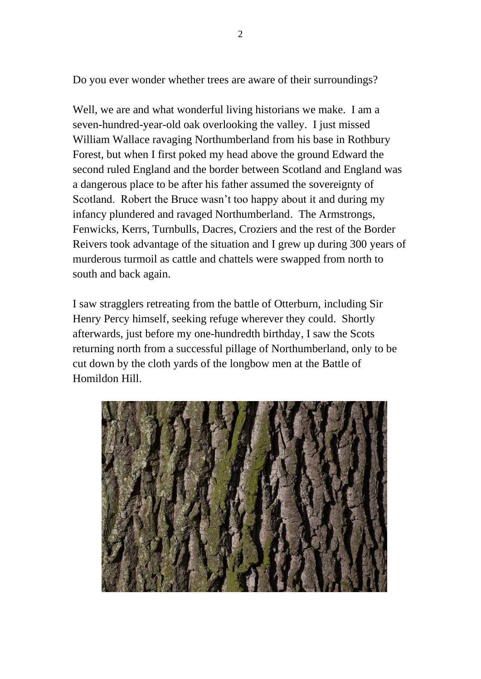Do you ever wonder whether trees are aware of their surroundings?

Well, we are and what wonderful living historians we make. I am a seven-hundred-year-old oak overlooking the valley. I just missed William Wallace ravaging Northumberland from his base in Rothbury Forest, but when I first poked my head above the ground Edward the second ruled England and the border between Scotland and England was a dangerous place to be after his father assumed the sovereignty of Scotland. Robert the Bruce wasn't too happy about it and during my infancy plundered and ravaged Northumberland. The Armstrongs, Fenwicks, Kerrs, Turnbulls, Dacres, Croziers and the rest of the Border Reivers took advantage of the situation and I grew up during 300 years of murderous turmoil as cattle and chattels were swapped from north to south and back again.

I saw stragglers retreating from the battle of Otterburn, including Sir Henry Percy himself, seeking refuge wherever they could. Shortly afterwards, just before my one-hundredth birthday, I saw the Scots returning north from a successful pillage of Northumberland, only to be cut down by the cloth yards of the longbow men at the Battle of Homildon Hill.

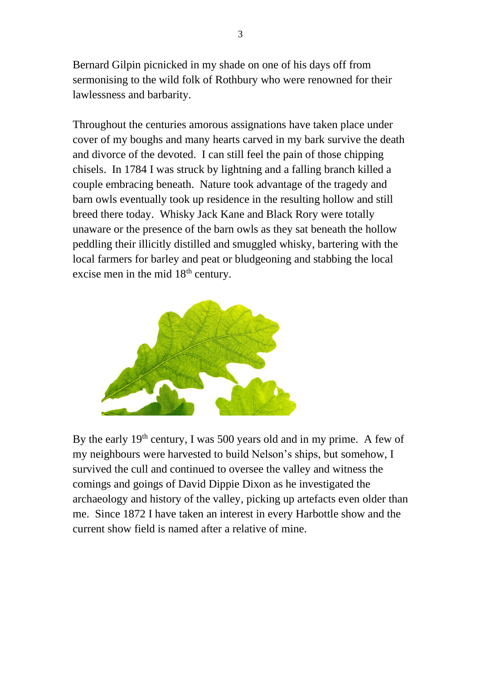Bernard Gilpin picnicked in my shade on one of his days off from sermonising to the wild folk of Rothbury who were renowned for their lawlessness and barbarity.

Throughout the centuries amorous assignations have taken place under cover of my boughs and many hearts carved in my bark survive the death and divorce of the devoted. I can still feel the pain of those chipping chisels. In 1784 I was struck by lightning and a falling branch killed a couple embracing beneath. Nature took advantage of the tragedy and barn owls eventually took up residence in the resulting hollow and still breed there today. Whisky Jack Kane and Black Rory were totally unaware or the presence of the barn owls as they sat beneath the hollow peddling their illicitly distilled and smuggled whisky, bartering with the local farmers for barley and peat or bludgeoning and stabbing the local excise men in the mid  $18<sup>th</sup>$  century.



By the early  $19<sup>th</sup>$  century, I was 500 years old and in my prime. A few of my neighbours were harvested to build Nelson's ships, but somehow, I survived the cull and continued to oversee the valley and witness the comings and goings of David Dippie Dixon as he investigated the archaeology and history of the valley, picking up artefacts even older than me. Since 1872 I have taken an interest in every Harbottle show and the current show field is named after a relative of mine.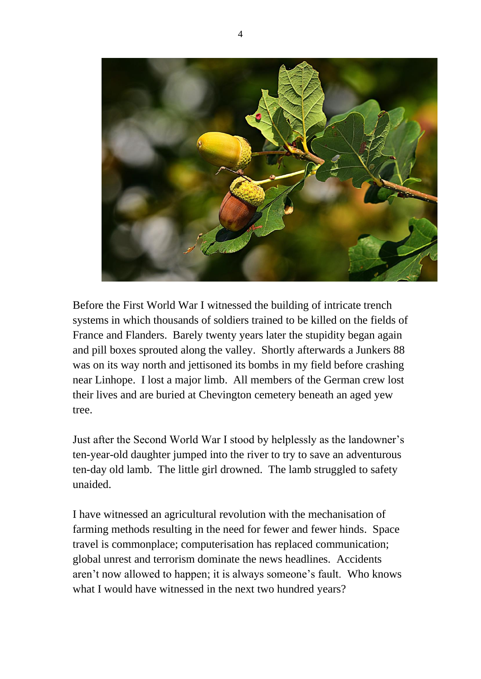

Before the First World War I witnessed the building of intricate trench systems in which thousands of soldiers trained to be killed on the fields of France and Flanders. Barely twenty years later the stupidity began again and pill boxes sprouted along the valley. Shortly afterwards a Junkers 88 was on its way north and jettisoned its bombs in my field before crashing near Linhope. I lost a major limb. All members of the German crew lost their lives and are buried at Chevington cemetery beneath an aged yew tree.

Just after the Second World War I stood by helplessly as the landowner's ten-year-old daughter jumped into the river to try to save an adventurous ten-day old lamb. The little girl drowned. The lamb struggled to safety unaided.

I have witnessed an agricultural revolution with the mechanisation of farming methods resulting in the need for fewer and fewer hinds. Space travel is commonplace; computerisation has replaced communication; global unrest and terrorism dominate the news headlines. Accidents aren't now allowed to happen; it is always someone's fault. Who knows what I would have witnessed in the next two hundred years?